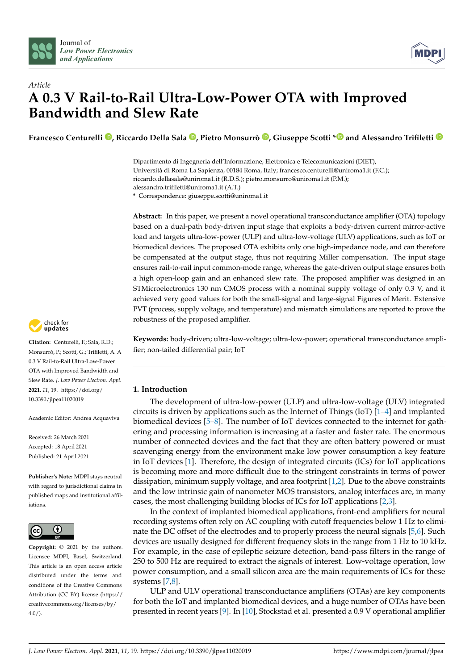



# *Article* **A 0.3 V Rail-to-Rail Ultra-Low-Power OTA with Improved Bandwidth and Slew Rate**

**Francesco Centurelli [,](https://orcid.org/0000-0003-3880-2546) Riccardo Della Sala [,](https://orcid.org/0000-0001-9990-4875) Pietro Monsurrò [,](https://orcid.org/0000-0002-3821-6566) Giuseppe Scotti [\\*](https://orcid.org/0000-0002-5650-8212) and Alessandro Trifiletti**

Dipartimento di Ingegneria dell'Informazione, Elettronica e Telecomunicazioni (DIET), Università di Roma La Sapienza, 00184 Roma, Italy; francesco.centurelli@uniroma1.it (F.C.); riccardo.dellasala@uniroma1.it (R.D.S.); pietro.monsurro@uniroma1.it (P.M.); alessandro.trifiletti@uniroma1.it (A.T.)

**\*** Correspondence: giuseppe.scotti@uniroma1.it

**Abstract:** In this paper, we present a novel operational transconductance amplifier (OTA) topology based on a dual-path body-driven input stage that exploits a body-driven current mirror-active load and targets ultra-low-power (ULP) and ultra-low-voltage (ULV) applications, such as IoT or biomedical devices. The proposed OTA exhibits only one high-impedance node, and can therefore be compensated at the output stage, thus not requiring Miller compensation. The input stage ensures rail-to-rail input common-mode range, whereas the gate-driven output stage ensures both a high open-loop gain and an enhanced slew rate. The proposed amplifier was designed in an STMicroelectronics 130 nm CMOS process with a nominal supply voltage of only 0.3 V, and it achieved very good values for both the small-signal and large-signal Figures of Merit. Extensive PVT (process, supply voltage, and temperature) and mismatch simulations are reported to prove the robustness of the proposed amplifier.

**Keywords:** body-driven; ultra-low-voltage; ultra-low-power; operational transconductance amplifier; non-tailed differential pair; IoT

## **1. Introduction**

The development of ultra-low-power (ULP) and ultra-low-voltage (ULV) integrated circuits is driven by applications such as the Internet of Things (IoT) [\[1](#page-13-0)[–4\]](#page-13-1) and implanted biomedical devices [\[5](#page-13-2)[–8\]](#page-13-3). The number of IoT devices connected to the internet for gathering and processing information is increasing at a faster and faster rate. The enormous number of connected devices and the fact that they are often battery powered or must scavenging energy from the environment make low power consumption a key feature in IoT devices [\[1\]](#page-13-0). Therefore, the design of integrated circuits (ICs) for IoT applications is becoming more and more difficult due to the stringent constraints in terms of power dissipation, minimum supply voltage, and area footprint [\[1](#page-13-0)[,2\]](#page-13-4). Due to the above constraints and the low intrinsic gain of nanometer MOS transistors, analog interfaces are, in many cases, the most challenging building blocks of ICs for IoT applications [\[2](#page-13-4)[,3\]](#page-13-5).

In the context of implanted biomedical applications, front-end amplifiers for neural recording systems often rely on AC coupling with cutoff frequencies below 1 Hz to eliminate the DC offset of the electrodes and to properly process the neural signals [\[5,](#page-13-2)[6\]](#page-13-6). Such devices are usually designed for different frequency slots in the range from 1 Hz to 10 kHz. For example, in the case of epileptic seizure detection, band-pass filters in the range of 250 to 500 Hz are required to extract the signals of interest. Low-voltage operation, low power consumption, and a small silicon area are the main requirements of ICs for these systems [\[7,](#page-13-7)[8\]](#page-13-3).

ULP and ULV operational transconductance amplifiers (OTAs) are key components for both the IoT and implanted biomedical devices, and a huge number of OTAs have been presented in recent years [\[9\]](#page-13-8). In [\[10\]](#page-13-9), Stockstad et al. presented a 0.9 V operational amplifier



**Citation:** Centurelli, F.; Sala, R.D.; Monsurrò, P.; Scotti, G.; Trifiletti, A. A 0.3 V Rail-to-Rail Ultra-Low-Power OTA with Improved Bandwidth and Slew Rate. *J. Low Power Electron. Appl.* **2021**, *11*, 19. [https://doi.org/](https://doi.org/10.3390/jlpea11020019) [10.3390/jlpea11020019](https://doi.org/10.3390/jlpea11020019)

Academic Editor: Andrea Acquaviva

Received: 26 March 2021 Accepted: 18 April 2021 Published: 21 April 2021

**Publisher's Note:** MDPI stays neutral with regard to jurisdictional claims in published maps and institutional affiliations.



**Copyright:** © 2021 by the authors. Licensee MDPI, Basel, Switzerland. This article is an open access article distributed under the terms and conditions of the Creative Commons Attribution (CC BY) license (https:/[/](https://creativecommons.org/licenses/by/4.0/) [creativecommons.org/licenses/by/](https://creativecommons.org/licenses/by/4.0/)  $4.0/$ ).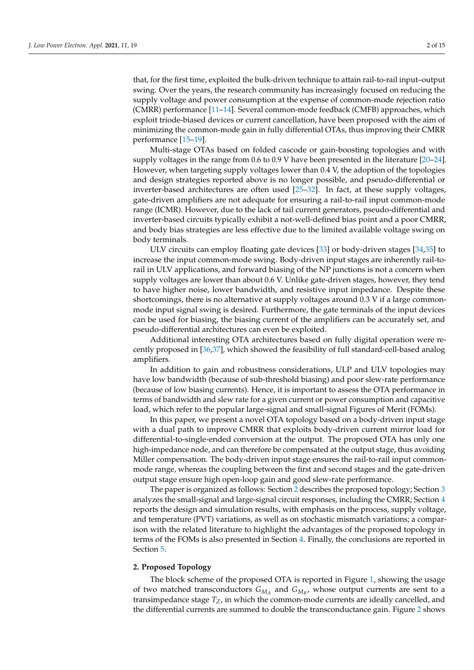that, for the first time, exploited the bulk-driven technique to attain rail-to-rail input–output swing. Over the years, the research community has increasingly focused on reducing the supply voltage and power consumption at the expense of common-mode rejection ratio (CMRR) performance [\[11–](#page-13-10)[14\]](#page-13-11). Several common-mode feedback (CMFB) approaches, which exploit triode-biased devices or current cancellation, have been proposed with the aim of minimizing the common-mode gain in fully differential OTAs, thus improving their CMRR performance [\[15–](#page-13-12)[19\]](#page-13-13).

Multi-stage OTAs based on folded cascode or gain-boosting topologies and with supply voltages in the range from 0.6 to 0.9 V have been presented in the literature [\[20](#page-13-14)[–24\]](#page-13-15). However, when targeting supply voltages lower than 0.4 V, the adoption of the topologies and design strategies reported above is no longer possible, and pseudo-differential or inverter-based architectures are often used [\[25](#page-13-16)[–32\]](#page-14-0). In fact, at these supply voltages, gate-driven amplifiers are not adequate for ensuring a rail-to-rail input common-mode range (ICMR). However, due to the lack of tail current generators, pseudo-differential and inverter-based circuits typically exhibit a not-well-defined bias point and a poor CMRR, and body bias strategies are less effective due to the limited available voltage swing on body terminals.

ULV circuits can employ floating gate devices [\[33\]](#page-14-1) or body-driven stages [\[34](#page-14-2)[,35\]](#page-14-3) to increase the input common-mode swing. Body-driven input stages are inherently rail-torail in ULV applications, and forward biasing of the NP junctions is not a concern when supply voltages are lower than about 0.6 V. Unlike gate-driven stages, however, they tend to have higher noise, lower bandwidth, and resistive input impedance. Despite these shortcomings, there is no alternative at supply voltages around 0.3 V if a large commonmode input signal swing is desired. Furthermore, the gate terminals of the input devices can be used for biasing, the biasing current of the amplifiers can be accurately set, and pseudo-differential architectures can even be exploited.

Additional interesting OTA architectures based on fully digital operation were recently proposed in [\[36](#page-14-4)[,37\]](#page-14-5), which showed the feasibility of full standard-cell-based analog amplifiers.

In addition to gain and robustness considerations, ULP and ULV topologies may have low bandwidth (because of sub-threshold biasing) and poor slew-rate performance (because of low biasing currents). Hence, it is important to assess the OTA performance in terms of bandwidth and slew rate for a given current or power consumption and capacitive load, which refer to the popular large-signal and small-signal Figures of Merit (FOMs).

In this paper, we present a novel OTA topology based on a body-driven input stage with a dual path to improve CMRR that exploits body-driven current mirror load for differential-to-single-ended conversion at the output. The proposed OTA has only one high-impedance node, and can therefore be compensated at the output stage, thus avoiding Miller compensation. The body-driven input stage ensures the rail-to-rail input commonmode range, whereas the coupling between the first and second stages and the gate-driven output stage ensure high open-loop gain and good slew-rate performance.

The paper is organized as follows: Section [2](#page-1-0) describes the proposed topology; Section [3](#page-3-0) analyzes the small-signal and large-signal circuit responses, including the CMRR; Section [4](#page-5-0) reports the design and simulation results, with emphasis on the process, supply voltage, and temperature (PVT) variations, as well as on stochastic mismatch variations; a comparison with the related literature to highlight the advantages of the proposed topology in terms of the FOMs is also presented in Section [4.](#page-5-0) Finally, the conclusions are reported in Section [5.](#page-12-0)

#### <span id="page-1-0"></span>**2. Proposed Topology**

The block scheme of the proposed OTA is reported in Figure [1,](#page-2-0) showing the usage of two matched transconductors  $G_{M_A}$  and  $G_{M_B}$ , whose output currents are sent to a transimpedance stage  $T_Z$ , in which the common-mode currents are ideally cancelled, and the differential currents are summed to double the transconductance gain. Figure [2](#page-2-1) shows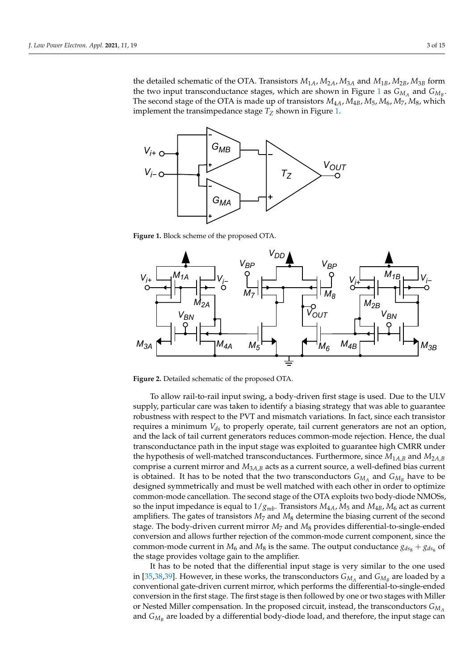the detailed schematic of the OTA. Transistors  $M_{1A}$ ,  $M_{2A}$ ,  $M_{3A}$  and  $M_{1B}$ ,  $M_{2B}$ ,  $M_{3B}$  form the two input transconductance stages, which are shown in Figure [1](#page-2-0) as  $G_{M_A}$  and  $G_{M_B}$ . The second stage of the OTA is made up of transistors  $M_{4A}$ ,  $M_{4B}$ ,  $M_{5}$ ,  $M_{6}$ ,  $M_{7}$ ,  $M_{8}$ , which implement the transimpedance stage *T<sup>Z</sup>* shown in Figure [1.](#page-2-0) implement the transimpedance stage *T<sup>Z</sup>* shown in Figure 1.

<span id="page-2-0"></span>

**Figure 1.** Block scheme of the proposed OTA. **Figure 1.** Block scheme of the proposed OTA.

<span id="page-2-1"></span>

**Figure 2.** Detailed schematic of the proposed OTA. **Figure 2.** Detailed schematic of the proposed OTA.

To allow rail-to-rail input swing, a body-driven first stage is used. Due to the ULV To allow rail-to-rail input swing, a body-driven first stage is used. Due to the ULV supply, particular care was taken to identify a biasing strategy that was able to guarantee supply, particular care was taken to identify a biasing strategy that was able to guarantee robustness with respect to the PVT and mismatch variations. In fact, since each transistor robustness with respect to the PVT and mismatch variations. In fact, since each transistor requires a minimum  $V_{ds}$  to properly operate, tail current generators are not an option, and the lack of tail current generators reduces common-mode rejection. Hence, the dual and the lack of tail current generators reduces common-mode rejection. Hence, the dual transconductance path in the input stage was exploited to guarantee high CMRR under transconductance path in the input stage was exploited to guarantee high CMRR under<br>the hypothesis of well-matched transconductances. Furthermore, since  $M_{1A,B}$  and  $M_{2A,B}$ comprise a current mirror and *M*3*A*,*<sup>B</sup>* acts as a current source, a well-defined bias current comprise a current mirror and *M*3*A*,*<sup>B</sup>* acts as a current source, a well-defined bias current is obtained. It has to be noted that the two transconductors  $G_{M_A}$  and  $G_{M_B}$  have to be designed symmetrically and must be well matched with each other in order to optimize designed symmetrically and must be well matched with each other in order to optimize common-mode cancellation. The second stage of the OTA exploits two body-diode NMOSs, common-mode cancellation. The second stage of the OTA exploits two body-diode NMOSs, so the input impedance is equal to  $1/g_{mb}$ . Transistors  $M_{4A}$ ,  $M_5$  and  $M_{4B}$ ,  $M_6$  act as current amplifiers. The gates of transistors  $M_7$  and  $M_8$  determine the biasing current of the second amplifiers. The gates of transistors *M*<sup>7</sup> and *M*<sup>8</sup> determine the biasing current of the second stage. The body-driven current mirror *M*<sup>7</sup> and *M*<sup>8</sup> provides differential-to-single-ended stage. The body-driven current mirror *M*<sup>7</sup> and *M*<sup>8</sup> provides differential-to-single-ended conversion and allows further rejection of the common-mode current component, since the conversion and allows further rejection of the common-mode current component, since the common-mode current in  $M_6$  and  $M_8$  is the same. The output conductance  $g_{ds_8} + g_{ds_6}$  of the stage provides voltage gain to the amplifier. the stage provides voltage gain to the amplifier.

It has to be noted that the differential input stage is very similar to the one used It has to be noted that the differential input stage is very similar to the one used in [\[35,](#page-14-3)[38,](#page-14-6)[39\]](#page-14-7). However, in these works, the transconductors  $G_{M_A}$  and  $G_{M_B}$  are loaded by a conventional gate-driven current mirror, which performs the differential-to-single-ended conventional gate-driven current mirror, which performs the differential-to-single-ended conversion in the first stage. The first stage is then followed by one or two stages with Miller conversion in the first stage. The first stage is then followed by one or two stages with Miller or Nested Miller compensation. In the proposed circuit, instead, the transconductors *GM<sup>A</sup>* or Nested Miller compensation. In the proposed circuit, instead, the transconductors *GM<sup>A</sup>* and  $G_{M_B}$  are loaded by a differential body-diode load, and therefore, the input stage can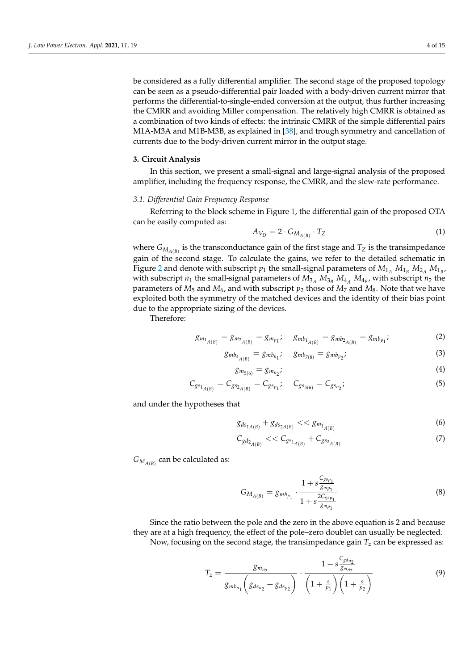be considered as a fully differential amplifier. The second stage of the proposed topology can be seen as a pseudo-differential pair loaded with a body-driven current mirror that performs the differential-to-single-ended conversion at the output, thus further increasing the CMRR and avoiding Miller compensation. The relatively high CMRR is obtained as a combination of two kinds of effects: the intrinsic CMRR of the simple differential pairs M1A-M3A and M1B-M3B, as explained in [\[38\]](#page-14-6), and trough symmetry and cancellation of currents due to the body-driven current mirror in the output stage.

## <span id="page-3-0"></span>**3. Circuit Analysis**

In this section, we present a small-signal and large-signal analysis of the proposed amplifier, including the frequency response, the CMRR, and the slew-rate performance.

# *3.1. Differential Gain Frequency Response*

Referring to the block scheme in Figure [1,](#page-2-0) the differential gain of the proposed OTA can be easily computed as:

$$
A_{V_D} = 2 \cdot G_{M_{A(B)}} \cdot T_Z \tag{1}
$$

where  $G_{M_{A(B)}}$  is the transconductance gain of the first stage and  $T_Z$  is the transimpedance gain of the second stage. To calculate the gains, we refer to the detailed schematic in Figure [2](#page-2-1) and denote with subscript  $p_1$  the small-signal parameters of  $M_{1_A}$   $M_{1_B}$   $M_{2_A}$   $M_{1_B}$ , with subscript  $n_1$  the small-signal parameters of  $M_{3_A} M_{3_B} M_{4_A} M_{4_B}$ , with subscript  $n_2$  the parameters of  $M_5$  and  $M_6$ , and with subscript  $p_2$  those of  $M_7$  and  $M_8$ . Note that we have exploited both the symmetry of the matched devices and the identity of their bias point due to the appropriate sizing of the devices.

Therefore:

$$
g_{m_{1_{A(B)}}} = g_{m_{2_{A(B)}}} = g_{m_{p_1}}; \quad g_{mb_{1_{A(B)}}} = g_{mb_{2_{A(B)}}} = g_{mb_{p_1}}; \tag{2}
$$

$$
g_{mb_{4_{A(B)}}} = g_{mb_{n_1}}; \quad g_{mb_{7(8)}} = g_{mb_{p_2}}; \tag{3}
$$

<span id="page-3-3"></span>
$$
g_{m_{5(6)}} = g_{m_{n_2}}; \tag{4}
$$

$$
C_{gs_{1_{A(B)}}} = C_{gs_{2_{A(B)}}} = C_{gs_{p_1}}; \quad C_{gs_{5(6)}} = C_{gs_{n_2}}; \tag{5}
$$

and under the hypotheses that

$$
g_{ds_{1A(B)}} + g_{ds_{2A(B)}} \ll g_{m_{1_{A(B)}}} \tag{6}
$$

$$
C_{gd_{2_{A(B)}}} << C_{g_{1_{A(B)}}} + C_{g_{2_{A(B)}}}
$$
\n
$$
(7)
$$

 $G_{M_{A(B)}}$  can be calculated as:

<span id="page-3-2"></span>
$$
G_{M_{A(B)}} = g_{mb_{p_1}} \cdot \frac{1 + s \frac{C_{g s_{p_1}}}{g_{mp_1}}}{1 + s \frac{2C_{g s_{p_1}}}{g_{mp_1}}}
$$
(8)

Since the ratio between the pole and the zero in the above equation is 2 and because they are at a high frequency, the effect of the pole–zero doublet can usually be neglected. Now, focusing on the second stage, the transimpedance gain  $T_z$  can be expressed as:

<span id="page-3-1"></span>
$$
T_z = \frac{g_{m_{n_2}}}{g_{mb_{n_1}}} \left( g_{ds_{n_2}} + g_{ds_{p_2}} \right) \cdot \frac{1 - s \frac{C_g d_{n_2}}{g_{m_{n_2}}}}{\left( 1 + \frac{s}{p_1} \right) \left( 1 + \frac{s}{p_2} \right)} \tag{9}
$$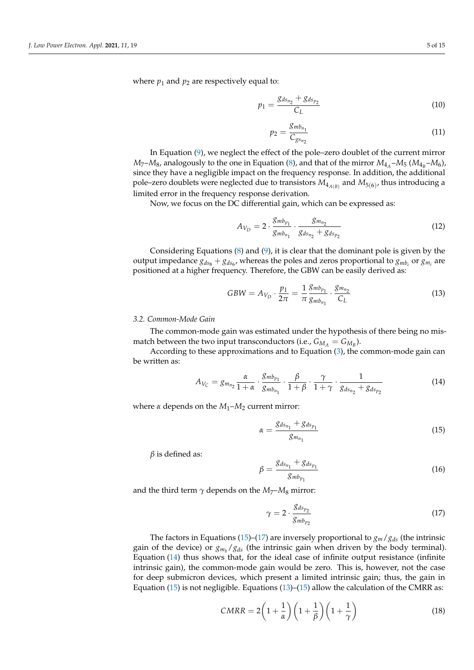where  $p_1$  and  $p_2$  are respectively equal to:

$$
p_1 = \frac{g_{ds_{n_2}} + g_{ds_{p_2}}}{C_L} \tag{10}
$$

$$
p_2 = \frac{g_{mb_{n_1}}}{C_{g s_{n_2}}} \tag{11}
$$

In Equation [\(9\)](#page-3-1), we neglect the effect of the pole–zero doublet of the current mirror  $M_7$ – $M_8$ , analogously to the one in Equation [\(8\)](#page-3-2), and that of the mirror  $M_{4_A}$ – $M_5$  ( $M_{4_B}$ – $M_6$ ), since they have a negligible impact on the frequency response. In addition, the additional pole–zero doublets were neglected due to transistors  $M_{4_{A(B)}}$  and  $M_{5(6)}$ , thus introducing a limited error in the frequency response derivation.

Now, we focus on the DC differential gain, which can be expressed as:

<span id="page-4-4"></span>
$$
A_{V_D} = 2 \cdot \frac{g_{mb_{p_1}}}{g_{mb_{n_1}}} \cdot \frac{g_{m_{n_2}}}{g_{ds_{n_2}} + g_{ds_{p_2}}}
$$
(12)

Considering Equations [\(8\)](#page-3-2) and [\(9\)](#page-3-1), it is clear that the dominant pole is given by the output impedance  $g_{ds_8} + g_{ds_6}$ , whereas the poles and zeros proportional to  $g_{mb_i}$  or  $g_{m_i}$  are positioned at a higher frequency. Therefore, the GBW can be easily derived as:

<span id="page-4-3"></span>
$$
GBW = A_{V_D} \cdot \frac{p_1}{2\pi} = \frac{1}{\pi} \frac{g_{mb_{p_1}}}{g_{mb_{r_1}}} \cdot \frac{g_{m_{r_2}}}{C_L}
$$
(13)

#### *3.2. Common-Mode Gain*

The common-mode gain was estimated under the hypothesis of there being no mismatch between the two input transconductors (i.e.,  $G_{M_A} = G_{M_B}$ ).

According to these approximations and to Equation [\(3\)](#page-3-3), the common-mode gain can be written as:

<span id="page-4-2"></span>
$$
A_{V_C} = g_{m_{n_2}} \frac{\alpha}{1 + \alpha} \cdot \frac{g_{mb_{p_1}}}{g_{mb_{n_1}}} \cdot \frac{\beta}{1 + \beta} \cdot \frac{\gamma}{1 + \gamma} \cdot \frac{1}{g_{ds_{n_2}} + g_{ds_{p_2}}}
$$
(14)

where *α* depends on the *M*1–*M*<sup>2</sup> current mirror:

<span id="page-4-0"></span>
$$
\alpha = \frac{g_{ds_{n_1}} + g_{ds_{p_1}}}{g_{m_{n_1}}}
$$
\n(15)

*β* is defined as:

$$
\beta = \frac{g_{ds_{n_1}} + g_{ds_{p_1}}}{g_{mb_{p_1}}}
$$
\n(16)

and the third term  $\gamma$  depends on the  $M_7$ – $M_8$  mirror:

<span id="page-4-1"></span>
$$
\gamma = 2 \cdot \frac{g_{ds_{p_2}}}{g_{mb_{p_2}}}
$$
\n(17)

The factors in Equations [\(15\)](#page-4-0)–[\(17\)](#page-4-1) are inversely proportional to  $g_m/g_{ds}$  (the intrinsic gain of the device) or  $g_{m_b}/g_{ds}$  (the intrinsic gain when driven by the body terminal). Equation [\(14\)](#page-4-2) thus shows that, for the ideal case of infinite output resistance (infinite intrinsic gain), the common-mode gain would be zero. This is, however, not the case for deep submicron devices, which present a limited intrinsic gain; thus, the gain in Equation [\(15\)](#page-4-0) is not negligible. Equations [\(13\)](#page-4-3)–(15) allow the calculation of the CMRR as:

$$
CMRR = 2\left(1 + \frac{1}{\alpha}\right)\left(1 + \frac{1}{\beta}\right)\left(1 + \frac{1}{\gamma}\right)
$$
\n(18)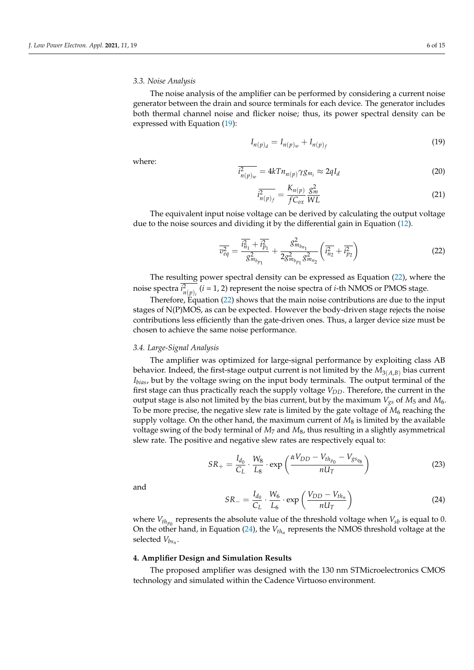## *3.3. Noise Analysis*

The noise analysis of the amplifier can be performed by considering a current noise generator between the drain and source terminals for each device. The generator includes both thermal channel noise and flicker noise; thus, its power spectral density can be expressed with Equation [\(19\)](#page-5-1):

<span id="page-5-1"></span>
$$
I_{n(p)_d} = I_{n(p)_w} + I_{n(p)_f}
$$
\n(19)

where:

$$
\overline{i_{n(p)_w}^2} = 4kT n_{n(p)} \gamma g_{m_i} \approx 2q I_d \tag{20}
$$

$$
\overline{i_{n(p)_f}^2} = \frac{K_{n(p)}}{f C_{ox}} \frac{g_m^2}{WL}
$$
\n(21)

The equivalent input noise voltage can be derived by calculating the output voltage due to the noise sources and dividing it by the differential gain in Equation [\(12\)](#page-4-4).

<span id="page-5-2"></span>
$$
\overline{v_{eq}^2} = \frac{\overline{i_{n_1}^2} + \overline{i_{p_1}^2}}{g_{m_{b_{p_1}}}^2} + \frac{g_{m_{b_{n_1}}}^2}{2g_{m_{b_{p_1}}}^2 g_{m_{n_2}}^2} \left(\overline{i_{n_2}^2} + \overline{i_{p_2}^2}\right)
$$
(22)

The resulting power spectral density can be expressed as Equation [\(22\)](#page-5-2), where the noise spectra  $i_{n(p)_i}^2$  (*i* = 1, 2) represent the noise spectra of *i*-th NMOS or PMOS stage.

Therefore, Equation [\(22\)](#page-5-2) shows that the main noise contributions are due to the input stages of N(P)MOS, as can be expected. However the body-driven stage rejects the noise contributions less efficiently than the gate-driven ones. Thus, a larger device size must be chosen to achieve the same noise performance.

#### *3.4. Large-Signal Analysis*

The amplifier was optimized for large-signal performance by exploiting class AB behavior. Indeed, the first-stage output current is not limited by the  $M_{3(A,B)}$  bias current *Ibias*, but by the voltage swing on the input body terminals. The output terminal of the first stage can thus practically reach the supply voltage *VDD*. Therefore, the current in the output stage is also not limited by the bias current, but by the maximum  $V_{gs}$  of  $M_5$  and  $M_6$ . To be more precise, the negative slew rate is limited by the gate voltage of  $M_6$  reaching the supply voltage. On the other hand, the maximum current of  $M_8$  is limited by the available voltage swing of the body terminal of *M*<sup>7</sup> and *M*8, thus resulting in a slightly asymmetrical slew rate. The positive and negative slew rates are respectively equal to:

<span id="page-5-4"></span>
$$
SR_{+} = \frac{I_{d_0}}{C_L} \cdot \frac{W_8}{L_8} \cdot \exp\left(\frac{\alpha V_{DD} - V_{th_{p_0}} - V_{gs_{q_8}}}{nU_T}\right)
$$
(23)

and

<span id="page-5-3"></span>
$$
SR_{-} = \frac{I_{d_0}}{C_L} \cdot \frac{W_6}{L_6} \cdot \exp\left(\frac{V_{DD} - V_{th_n}}{nU_T}\right)
$$
(24)

where  $V_{th_{p_0}}$  represents the absolute value of the threshold voltage when  $V_{sb}$  is equal to 0. On the other hand, in Equation [\(24\)](#page-5-3), the *Vth<sup>n</sup>* represents the NMOS threshold voltage at the selected *Vbs<sup>n</sup>* .

#### <span id="page-5-0"></span>**4. Amplifier Design and Simulation Results**

The proposed amplifier was designed with the 130 nm STMicroelectronics CMOS technology and simulated within the Cadence Virtuoso environment.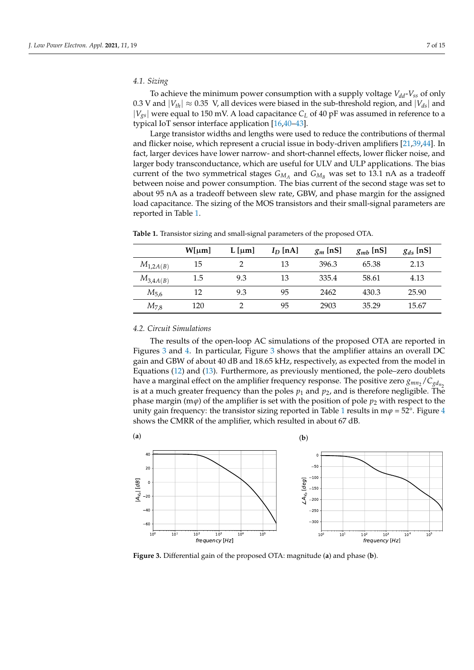## *4.1. Sizing*

To achieve the minimum power consumption with a supply voltage  $V_{dd}$ - $V_{ss}$  of only 0.3 V and  $|V_{th}| \approx 0.35$  V, all devices were biased in the sub-threshold region, and  $|V_{ds}|$  and |*Vgs*| were equal to 150 mV. A load capacitance *C<sup>L</sup>* of 40 pF was assumed in reference to a typical IoT sensor interface application [\[16](#page-13-17)[,40](#page-14-8)[–43\]](#page-14-9).

Large transistor widths and lengths were used to reduce the contributions of thermal and flicker noise, which represent a crucial issue in body-driven amplifiers [\[21,](#page-13-18)[39,](#page-14-7)[44\]](#page-14-10). In fact, larger devices have lower narrow- and short-channel effects, lower flicker noise, and larger body transconductance, which are useful for ULV and ULP applications. The bias current of the two symmetrical stages  $G_{M_A}$  and  $G_{M_B}$  was set to 13.1 nA as a tradeoff between noise and power consumption. The bias current of the second stage was set to about 95 nA as a tradeoff between slew rate, GBW, and phase margin for the assigned load capacitance. The sizing of the MOS transistors and their small-signal parameters are reported in Table [1.](#page-6-0)

|               | W[µm] | $L$  µm | $I_D$ [nA] | $g_m$ [nS] | $g_{mb}$ [nS] | $g_{ds}$ [nS] |
|---------------|-------|---------|------------|------------|---------------|---------------|
| $M_{1,2A(B)}$ | 15    |         | 13         | 396.3      | 65.38         | 2.13          |
| $M_{3,4A(B)}$ | 1.5   | 9.3     | 13         | 335.4      | 58.61         | 4.13          |
| $M_{5,6}$     | 12    | 9.3     | 95         | 2462       | 430.3         | 25.90         |
| $M_{7,8}$     | 120   |         | 95         | 2903       | 35.29         | 15.67         |

<span id="page-6-0"></span>**Table 1.** Transistor sizing and small-signal parameters of the proposed OTA.

## *4.2. Circuit Simulations*

The results of the open-loop AC simulations of the proposed OTA are reported in Figures [3](#page-6-1) and [4.](#page-7-0) In particular, Figure [3](#page-6-1) shows that the amplifier attains an overall DC gain and GBW of about 40 dB and 18.65 kHz, respectively, as expected from the model in Equations [\(12\)](#page-4-4) and [\(13\)](#page-4-3). Furthermore, as previously mentioned, the pole–zero doublets have a marginal effect on the amplifier frequency response. The positive zero  $g_{mn_2}/C_{gd_n}$ is at a much greater frequency than the poles  $p_1$  and  $p_2$ , and is therefore negligible. The phase margin (m $\varphi$ ) of the amplifier is set with the position of pole  $p_2$  with respect to the unity gain frequency: the transistor sizing reported in Table [1](#page-6-0) results in m $\varphi$  = 52°. Figure [4](#page-7-0) shows the CMRR of the amplifier, which resulted in about 67 dB.

<span id="page-6-1"></span>

**Figure 3.** Differential gain of the proposed OTA: magnitude (**a**) and phase (**b**).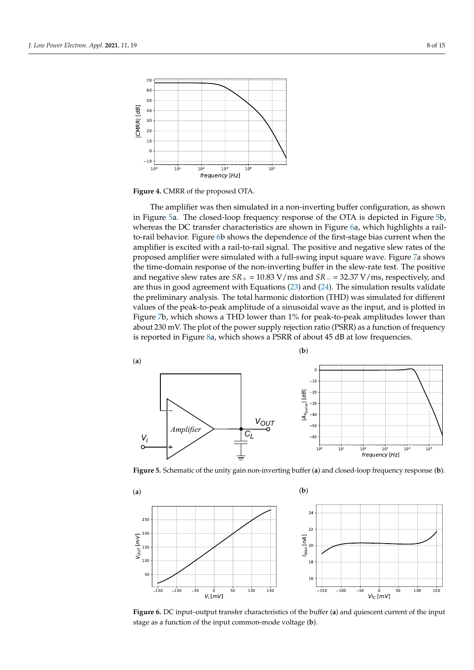<span id="page-7-0"></span>

**Figure 4.** CMRR of the proposed OTA.

The amplifier was then simulated in a non-inverting buffer configuration, as shown in Figure [5a](#page-7-1). The closed-loop frequency response of the OTA is depicted in Figure [5b](#page-7-1), whereas the DC transfer characteristics are shown in Figure [6a](#page-7-2), which highlights a railto-rail behavior. Figure [6b](#page-7-2) shows the dependence of the first-stage bias current when the amplifier is excited with a rail-to-rail signal. The positive and negative slew rates of the proposed amplifier were simulated with a full-swing input square wave. Figure [7a](#page-8-0) shows the time-domain response of the non-inverting buffer in the slew-rate test. The positive and negative slew rates are *SR*<sup>+</sup> = 10.83 V/ms and *SR*<sup>−</sup> = 32.37 V/ms, respectively, and are thus in good agreement with Equations [\(23\)](#page-5-4) and [\(24\)](#page-5-3). The simulation results validate the preliminary analysis. The total harmonic distortion (THD) was simulated for different values of the peak-to-peak amplitude of a sinusoidal wave as the input, and is plotted in Figure [7b](#page-8-0), which shows a THD lower than 1% for peak-to-peak amplitudes lower than about 230 mV. The plot of the power supply rejection ratio (PSRR) as a function of frequency is reported in Figure [8a](#page-8-1), which shows a PSRR of about 45 dB at low frequencies.

<span id="page-7-1"></span>

<span id="page-7-2"></span>**Figure 5.** Schematic of the unity gain non-inverting buffer (**a**) and closed-loop frequency response (**b**).



**Figure 6.** DC input–output transfer characteristics of the buffer (**a**) and quiescent current of the input stage as a function of the input common-mode voltage (**b**).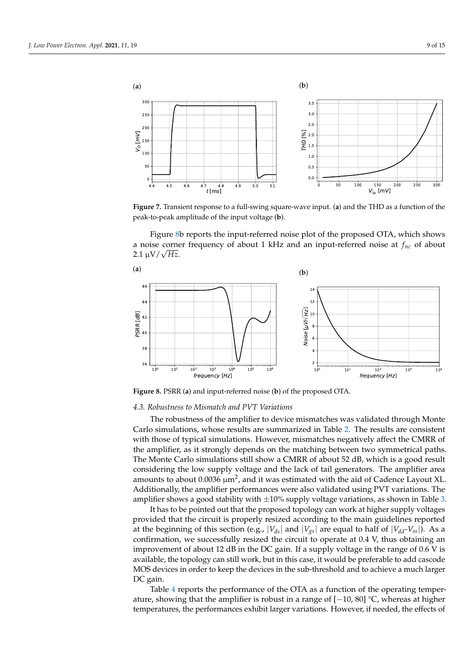<span id="page-8-0"></span>

**Figure 7.** Transient response to a full-swing square-wave input. (**a**) and the THD as a function of the peak-to-peak amplitude of the input voltage (**b**).

Figure [8b](#page-8-1) reports the input-referred noise plot of the proposed OTA, which shows a noise corner frequency of about 1 kHz and an input-referred noise at *fnc* of about 2.1 <sup>µ</sup>V/<sup>√</sup> *Hz*.

<span id="page-8-1"></span>

**Figure 8.** PSRR (**a**) and input-referred noise (**b**) of the proposed OTA.

#### *4.3. Robustness to Mismatch and PVT Variations*

The robustness of the amplifier to device mismatches was validated through Monte Carlo simulations, whose results are summarized in Table [2.](#page-9-0) The results are consistent with those of typical simulations. However, mismatches negatively affect the CMRR of the amplifier, as it strongly depends on the matching between two symmetrical paths. The Monte Carlo simulations still show a CMRR of about 52 dB, which is a good result considering the low supply voltage and the lack of tail generators. The amplifier area amounts to about 0.0036  $\mu$ m<sup>2</sup>, and it was estimated with the aid of Cadence Layout XL. Additionally, the amplifier performances were also validated using PVT variations. The amplifier shows a good stability with  $\pm 10\%$  supply voltage variations, as shown in Table [3.](#page-9-1)

It has to be pointed out that the proposed topology can work at higher supply voltages provided that the circuit is properly resized according to the main guidelines reported at the beginning of this section (e.g.,  $|V_{ds}|$  and  $|V_{gs}|$  are equal to half of  $|V_{dd}V_{ss}|$ ). As a confirmation, we successfully resized the circuit to operate at 0.4 V, thus obtaining an improvement of about 12 dB in the DC gain. If a supply voltage in the range of 0.6 V is available, the topology can still work, but in this case, it would be preferable to add cascode MOS devices in order to keep the devices in the sub-threshold and to achieve a much larger DC gain.

Table [4](#page-9-2) reports the performance of the OTA as a function of the operating temperature, showing that the amplifier is robust in a range of  $[-10, 80]$  °C, whereas at higher temperatures, the performances exhibit larger variations. However, if needed, the effects of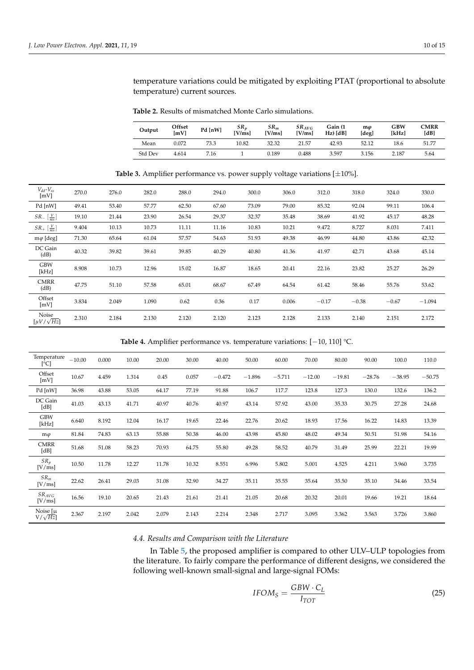temperature variations could be mitigated by exploiting PTAT (proportional to absolute temperature) current sources.

<span id="page-9-0"></span>**Table 2.** Results of mismatched Monte Carlo simulations.

| Output         | Offset<br>[mV] | Pd [nW] | SR <sub>v</sub><br>[V/ms] | $SR_m$<br>[V/ms] | $SR_{AVG}$<br>[V/ms] | Gain (1<br>$Hz)$ [dB] | $m\varphi$<br>[deg] | GBW<br>[kHz] | <b>CMRR</b><br>[dB] |
|----------------|----------------|---------|---------------------------|------------------|----------------------|-----------------------|---------------------|--------------|---------------------|
| Mean           | 0.072          | 73.3    | 10.82                     | 32.32            | 21.57                | 42.93                 | 52.12               | 18.6         | 51.77               |
| <b>Std Dev</b> | 4.614          | 7.16    |                           | 0.189            | 0.488                | 3.597                 | 3.156               | 2.187        | 5.64                |

**Table 3.** Amplifier performance vs. power supply voltage variations [±10%].

<span id="page-9-1"></span>

| $V_{dd}$ - $V_{ss}$<br>[mV]             | 270.0 | 276.0 | 282.0 | 288.0 | 294.0 | 300.0 | 306.0 | 312.0   | 318.0   | 324.0   | 330.0    |
|-----------------------------------------|-------|-------|-------|-------|-------|-------|-------|---------|---------|---------|----------|
| Pd [nW]                                 | 49.41 | 53.40 | 57.77 | 62.50 | 67.60 | 73.09 | 79.00 | 85.32   | 92.04   | 99.11   | 106.4    |
| $SR - \left[\frac{V}{ms}\right]$        | 19.10 | 21.44 | 23.90 | 26.54 | 29.37 | 32.37 | 35.48 | 38.69   | 41.92   | 45.17   | 48.28    |
| $SR_+$ $\left[\frac{V}{ms}\right]$      | 9.404 | 10.13 | 10.73 | 11.11 | 11.16 | 10.83 | 10.21 | 9.472   | 8.727   | 8.031   | 7.411    |
| $m\varphi$ [deg]                        | 71.30 | 65.64 | 61.04 | 57.57 | 54.63 | 51.93 | 49.38 | 46.99   | 44.80   | 43.86   | 42.32    |
| DC Gain<br>(dB)                         | 40.32 | 39.82 | 39.61 | 39.85 | 40.29 | 40.80 | 41.36 | 41.97   | 42.71   | 43.68   | 45.14    |
| <b>GBW</b><br>[kHz]                     | 8.908 | 10.73 | 12.96 | 15.02 | 16.87 | 18.65 | 20.41 | 22.16   | 23.82   | 25.27   | 26.29    |
| <b>CMRR</b><br>(dB)                     | 47.75 | 51.10 | 57.58 | 65.01 | 68.67 | 67.49 | 64.54 | 61.42   | 58.46   | 55.76   | 53.62    |
| Offset<br>[mV]                          | 3.834 | 2.049 | 1.090 | 0.62  | 0.36  | 0.17  | 0.006 | $-0.17$ | $-0.38$ | $-0.67$ | $-1.094$ |
| Noise<br>$\left[\mu V/\sqrt{Hz}\right]$ | 2.310 | 2.184 | 2.130 | 2.120 | 2.120 | 2.123 | 2.128 | 2.133   | 2.140   | 2.151   | 2.172    |

**Table 4.** Amplifier performance vs. temperature variations: [−10, 110] °C.

<span id="page-9-2"></span>

| Temperature<br>[°C]            | $-10.00$ | 0.000 | 10.00 | 20.00 | 30.00 | 40.00    | 50.00    | 60.00    | 70.00    | 80.00    | 90.00    | 100.0    | 110.0    |
|--------------------------------|----------|-------|-------|-------|-------|----------|----------|----------|----------|----------|----------|----------|----------|
| Offset<br>[mV]                 | 10.67    | 4.459 | 1.314 | 0.45  | 0.057 | $-0.472$ | $-1.896$ | $-5.711$ | $-12.00$ | $-19.81$ | $-28.76$ | $-38.95$ | $-50.75$ |
| Pd [nW]                        | 36.98    | 43.88 | 53.05 | 64.17 | 77.19 | 91.88    | 106.7    | 117.7    | 123.8    | 127.3    | 130.0    | 132.6    | 136.2    |
| DC Gain<br>[dB]                | 41.03    | 43.13 | 41.71 | 40.97 | 40.76 | 40.97    | 43.14    | 57.92    | 43.00    | 35.33    | 30.75    | 27.28    | 24.68    |
| <b>GBW</b><br>[kHz]            | 6.640    | 8.192 | 12.04 | 16.17 | 19.65 | 22.46    | 22.76    | 20.62    | 18.93    | 17.56    | 16.22    | 14.83    | 13.39    |
| $m\varphi$                     | 81.84    | 74.83 | 63.13 | 55.88 | 50.38 | 46.00    | 43.98    | 45.80    | 48.02    | 49.34    | 50.51    | 51.98    | 54.16    |
| <b>CMRR</b><br>[dB]            | 51.68    | 51.08 | 58.23 | 70.93 | 64.75 | 55.80    | 49.28    | 58.52    | 40.79    | 31.49    | 25.99    | 22.21    | 19.99    |
| $SR_p$<br>[V/ms]               | 10.50    | 11.78 | 12.27 | 11.78 | 10.32 | 8.551    | 6.996    | 5.802    | 5.001    | 4.525    | 4.211    | 3.960    | 3.735    |
| $SR_m$<br>[V/ms]               | 22.62    | 26.41 | 29.03 | 31.08 | 32.90 | 34.27    | 35.11    | 35.55    | 35.64    | 35.50    | 35.10    | 34.46    | 33.54    |
| $SR_{AVG}$<br>[V/ms]           | 16.56    | 19.10 | 20.65 | 21.43 | 21.61 | 21.41    | 21.05    | 20.68    | 20.32    | 20.01    | 19.66    | 19.21    | 18.64    |
| Noise $[\mu]$<br>$V/\sqrt{Hz}$ | 2.367    | 2.197 | 2.042 | 2.079 | 2.143 | 2.214    | 2.348    | 2.717    | 3.095    | 3.362    | 3.563    | 3.726    | 3.860    |

## *4.4. Results and Comparison with the Literature*

In Table [5,](#page-11-0) the proposed amplifier is compared to other ULV–ULP topologies from the literature. To fairly compare the performance of different designs, we considered the following well-known small-signal and large-signal FOMs:

<span id="page-9-3"></span>
$$
IFOM_S = \frac{GBW \cdot C_L}{I_{TOT}} \tag{25}
$$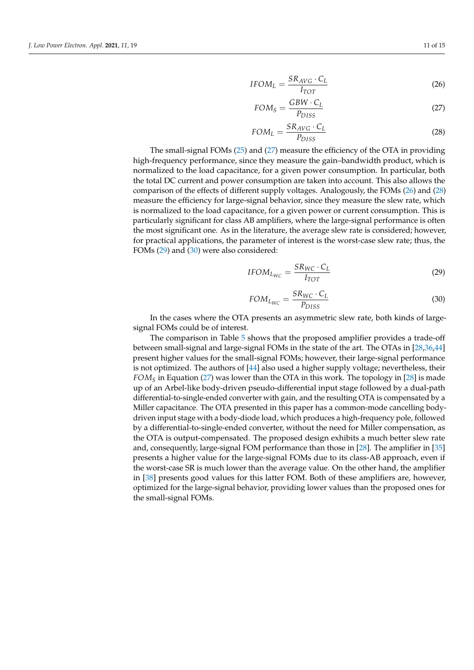$$
SR_{AVC} \cdot C_I
$$

<span id="page-10-1"></span>
$$
IFOM_L = \frac{SIR_{VG} - S_L}{I_{TOT}} \tag{26}
$$

<span id="page-10-0"></span>
$$
FOM_S = \frac{GBW \cdot C_L}{P_{DISS}} \tag{27}
$$

<span id="page-10-2"></span>
$$
FOM_L = \frac{SR_{AVG} \cdot C_L}{P_{DISS}} \tag{28}
$$

The small-signal FOMs [\(25\)](#page-9-3) and [\(27\)](#page-10-0) measure the efficiency of the OTA in providing high-frequency performance, since they measure the gain–bandwidth product, which is normalized to the load capacitance, for a given power consumption. In particular, both the total DC current and power consumption are taken into account. This also allows the comparison of the effects of different supply voltages. Analogously, the FOMs [\(26\)](#page-10-1) and [\(28\)](#page-10-2) measure the efficiency for large-signal behavior, since they measure the slew rate, which is normalized to the load capacitance, for a given power or current consumption. This is particularly significant for class AB amplifiers, where the large-signal performance is often the most significant one. As in the literature, the average slew rate is considered; however, for practical applications, the parameter of interest is the worst-case slew rate; thus, the FOMs [\(29\)](#page-10-3) and [\(30\)](#page-10-4) were also considered:

<span id="page-10-3"></span>
$$
IFOM_{L_{WC}} = \frac{SR_{WC} \cdot C_L}{I_{TOT}} \tag{29}
$$

<span id="page-10-4"></span>
$$
FOM_{L_{WC}} = \frac{SR_{WC} \cdot C_L}{P_{DISS}} \tag{30}
$$

In the cases where the OTA presents an asymmetric slew rate, both kinds of largesignal FOMs could be of interest.

The comparison in Table [5](#page-11-0) shows that the proposed amplifier provides a trade-off between small-signal and large-signal FOMs in the state of the art. The OTAs in [\[28,](#page-13-19)[36,](#page-14-4)[44\]](#page-14-10) present higher values for the small-signal FOMs; however, their large-signal performance is not optimized. The authors of [\[44\]](#page-14-10) also used a higher supply voltage; nevertheless, their *FOM<sup>S</sup>* in Equation [\(27\)](#page-10-0) was lower than the OTA in this work. The topology in [\[28\]](#page-13-19) is made up of an Arbel-like body-driven pseudo-differential input stage followed by a dual-path differential-to-single-ended converter with gain, and the resulting OTA is compensated by a Miller capacitance. The OTA presented in this paper has a common-mode cancelling bodydriven input stage with a body-diode load, which produces a high-frequency pole, followed by a differential-to-single-ended converter, without the need for Miller compensation, as the OTA is output-compensated. The proposed design exhibits a much better slew rate and, consequently, large-signal FOM performance than those in [\[28\]](#page-13-19). The amplifier in [\[35\]](#page-14-3) presents a higher value for the large-signal FOMs due to its class-AB approach, even if the worst-case SR is much lower than the average value. On the other hand, the amplifier in [\[38\]](#page-14-6) presents good values for this latter FOM. Both of these amplifiers are, however, optimized for the large-signal behavior, providing lower values than the proposed ones for the small-signal FOMs.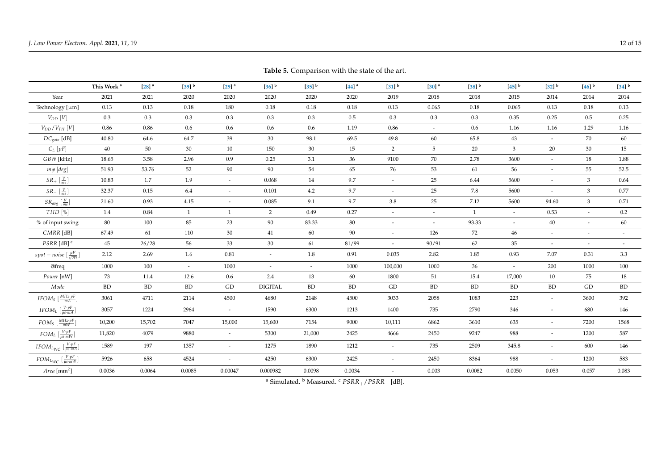**This Work <sup>a</sup>**

**[\[28\]](#page-13-20) a**

**[\[39\]](#page-14-11)**

**<sup>b</sup> [\[29\]](#page-14-12) a**

|                     | Table 5. Comparison with the state of the art. |                     |                     |                          |                     |                     |                          |                     |                     |
|---------------------|------------------------------------------------|---------------------|---------------------|--------------------------|---------------------|---------------------|--------------------------|---------------------|---------------------|
| $[36]$ <sup>b</sup> | $[35]$ <sup>b</sup>                            | $[44]$ <sup>a</sup> | $[31]$ <sup>b</sup> | $[30]$ <sup>a</sup>      | $[38]$ <sup>b</sup> | $[45]$ <sup>b</sup> | $[32]$ <sup>b</sup>      | $[46]$ <sup>b</sup> | $[34]$ <sup>b</sup> |
| 2020                | 2020                                           | 2020                | 2019                | 2018                     | 2018                | 2015                | 2014                     | 2014                | 2014                |
| 0.18                | 0.18                                           | 0.18                | 0.13                | 0.065                    | 0.18                | 0.065               | 0.13                     | 0.18                | 0.13                |
| 0.3                 | 0.3                                            | 0.5                 | 0.3                 | 0.3                      | 0.3                 | 0.35                | 0.25                     | 0.5                 | 0.25                |
| 0.6                 | 0.6                                            | 1.19                | 0.86                | $\overline{\phantom{a}}$ | 0.6                 | 1.16                | 1.16                     | 1.29                | 1.16                |
| 30                  | 98.1                                           | 69.5                | 49.8                | 60                       | 65.8                | 43                  | $\overline{\phantom{0}}$ | 70                  | 60                  |
| 150                 | 30                                             | 15                  | $\overline{2}$      | 5                        | 20                  | 3                   | 20                       | 30                  | 15                  |
| 0.25                | 3.1                                            | 36                  | 9100                | 70                       | 2.78                | 3600                | $\overline{\phantom{a}}$ | 18                  | 1.88                |
| 90                  | 54                                             | 65                  | 76                  | 53                       | 61                  | 56                  |                          | 55                  | 52.5                |

<span id="page-11-0"></span>

| Year                                                                                                   | 2021      | 2021      | 2020      | 2020                     | 2020                     | 2020      | 2020      | 2019                        | 2018                     | 2018           | 2015           | 2014                     | 2014           | 2014                     |
|--------------------------------------------------------------------------------------------------------|-----------|-----------|-----------|--------------------------|--------------------------|-----------|-----------|-----------------------------|--------------------------|----------------|----------------|--------------------------|----------------|--------------------------|
| Technology [µm]                                                                                        | 0.13      | 0.13      | 0.18      | 180                      | 0.18                     | 0.18      | 0.18      | 0.13                        | 0.065                    | 0.18           | 0.065          | 0.13                     | 0.18           | 0.13                     |
| $V_{DD}$ [V]                                                                                           | 0.3       | 0.3       | 0.3       | 0.3                      | 0.3                      | 0.3       | 0.5       | 0.3                         | 0.3                      | 0.3            | 0.35           | 0.25                     | 0.5            | 0.25                     |
| $V_{DD}/V_{TH}$ $[V]$                                                                                  | 0.86      | 0.86      | 0.6       | 0.6                      | 0.6                      | 0.6       | 1.19      | 0.86                        | $\overline{\phantom{a}}$ | 0.6            | 1.16           | 1.16                     | 1.29           | 1.16                     |
| $DC_{gain}$ [dB]                                                                                       | 40.80     | 64.6      | 64.7      | 39                       | 30                       | 98.1      | 69.5      | 49.8                        | $60\,$                   | 65.8           | 43             |                          | 70             | 60                       |
| $C_L[pF]$                                                                                              | 40        | 50        | $30\,$    | 10                       | 150                      | 30        | 15        | 2                           | $5\overline{)}$          | 20             | $\mathfrak{Z}$ | 20                       | 30             | 15                       |
| GBW [kHz]                                                                                              | 18.65     | 3.58      | 2.96      | 0.9                      | 0.25                     | 3.1       | 36        | 9100                        | 70                       | 2.78           | 3600           |                          | 18             | 1.88                     |
| $m\varphi$ [deg]                                                                                       | 51.93     | 53.76     | 52        | 90                       | 90                       | 54        | 65        | 76                          | 53                       | 61             | 56             | $\sim$                   | 55             | 52.5                     |
| $SR_{+}$ $\left[\frac{V}{ms}\right]$                                                                   | 10.83     | 1.7       | 1.9       | $\overline{\phantom{a}}$ | 0.068                    | 14        | 9.7       | $\overline{\phantom{a}}$    | 25                       | 6.44           | 5600           |                          | $\mathfrak{Z}$ | 0.64                     |
| $SR_{-}$ $\left[\frac{V}{ms}\right]$                                                                   | 32.37     | 0.15      | 6.4       | $\overline{\phantom{a}}$ | 0.101                    | 4.2       | 9.7       |                             | 25                       | 7.8            | 5600           |                          | 3              | 0.77                     |
| $SR_{avg}$ $\left[\frac{V}{ms}\right]$                                                                 | 21.60     | 0.93      | 4.15      | $\tilde{\phantom{a}}$    | 0.085                    | 9.1       | 9.7       | 3.8                         | 25                       | 7.12           | 5600           | 94.60                    | $\mathfrak{Z}$ | 0.71                     |
| $THD$ [%]                                                                                              | 1.4       | 0.84      | 1         | 1                        | 2                        | 0.49      | 0.27      |                             | $\overline{\phantom{a}}$ | $\overline{1}$ | $\sim$         | 0.53                     | $\sim$         | $0.2\,$                  |
| % of input swing                                                                                       | 80        | 100       | 85        | 23                       | 90                       | 83.33     | 80        | $\overline{\phantom{a}}$    | $\overline{\phantom{a}}$ | 93.33          | $\sim$         | 40                       | $\sim$         | 60                       |
| $CMRR$ [dB]                                                                                            | 67.49     | 61        | 110       | $30\,$                   | 41                       | 60        | 90        | $\overline{\phantom{0}}$    | 126                      | 72             | 46             |                          |                |                          |
| $PSRR$ [dB] $c$                                                                                        | 45        | 26/28     | 56        | 33                       | 30                       | 61        | 81/99     | $\mathcal{L}_{\mathcal{A}}$ | 90/91                    | 62             | 35             |                          | $\sim$         | $\overline{\phantom{a}}$ |
| spot – noise $\left[\frac{\mu V}{\sqrt{Hz}}\right]$                                                    | 2.12      | 2.69      | 1.6       | 0.81                     | $\overline{\phantom{a}}$ | 1.8       | 0.91      | 0.035                       | 2.82                     | 1.85           | 0.93           | 7.07                     | 0.31           | 3.3                      |
| @freq                                                                                                  | 1000      | 100       | $\sim$    | 1000                     | $\overline{a}$           | $\sim$    | 1000      | 100,000                     | 1000                     | 36             | $\sim$         | 200                      | 1000           | 100                      |
| Power [nW]                                                                                             | 73        | 11.4      | 12.6      | 0.6                      | 2.4                      | 13        | 60        | 1800                        | 51                       | 15.4           | 17,000         | 10                       | 75             | 18                       |
| Mode                                                                                                   | <b>BD</b> | <b>BD</b> | <b>BD</b> | GD                       | <b>DIGITAL</b>           | <b>BD</b> | <b>BD</b> | GD                          | <b>BD</b>                | <b>BD</b>      | <b>BD</b>      | <b>BD</b>                | GD             | <b>BD</b>                |
| IFOM <sub>S</sub> $\left[\frac{MHz \cdot pF}{mA}\right]$                                               | 3061      | 4711      | 2114      | 4500                     | 4680                     | 2148      | 4500      | 3033                        | 2058                     | 1083           | 223            | $\overline{\phantom{a}}$ | 3600           | 392                      |
| IFOM <sub>L</sub> $\left[\frac{V\cdot pF}{\mu s\cdot mA}\right]$                                       | 3057      | 1224      | 2964      | $\overline{\phantom{a}}$ | 1590                     | 6300      | 1213      | 1400                        | 735                      | 2790           | 346            | $\overline{\phantom{0}}$ | 680            | 146                      |
| $FOM_S\left[\frac{MHz\cdot pF}{mW}\right]$                                                             | 10,200    | 15,702    | 7047      | 15,000                   | 15,600                   | 7154      | 9000      | 10,111                      | 6862                     | 3610           | 635            | $\tilde{\phantom{a}}$    | 7200           | 1568                     |
| $FOM_L\left[\frac{V\cdot pF}{\mu s\cdot mW}\right]$                                                    | 11,820    | 4079      | 9880      |                          | 5300                     | 21,000    | 2425      | 4666                        | 2450                     | 9247           | 988            |                          | 1200           | 587                      |
| $\textit{IFOM}_\textit{LWC}$ $[\frac{\textit{V} \cdot \textit{pF}}{\textit{\mu s} \cdot \textit{mA}}]$ | 1589      | 197       | 1357      | $\overline{\phantom{a}}$ | 1275                     | 1890      | 1212      | $\overline{\phantom{a}}$    | 735                      | 2509           | 345.8          | $\overline{\phantom{a}}$ | 600            | 146                      |
| $FOM_{L_{WC}}\ [\frac{V\cdot pF}{\mu s\cdot mW}]$                                                      | 5926      | 658       | 4524      | $\overline{\phantom{a}}$ | 4250                     | 6300      | 2425      | $\overline{\phantom{a}}$    | 2450                     | 8364           | 988            |                          | 1200           | 583                      |
| Area [mm <sup>2</sup> ]                                                                                | 0.0036    | 0.0064    | 0.0085    | 0.00047                  | 0.000982                 | 0.0098    | 0.0034    | $\overline{a}$              | 0.003                    | 0.0082         | 0.0050         | 0.053                    | 0.057          | 0.083                    |

<sup>a</sup> Simulated. <sup>b</sup> Measured. <sup>c</sup> *PSRR*+/*PSRR*<sup>−</sup> [dB].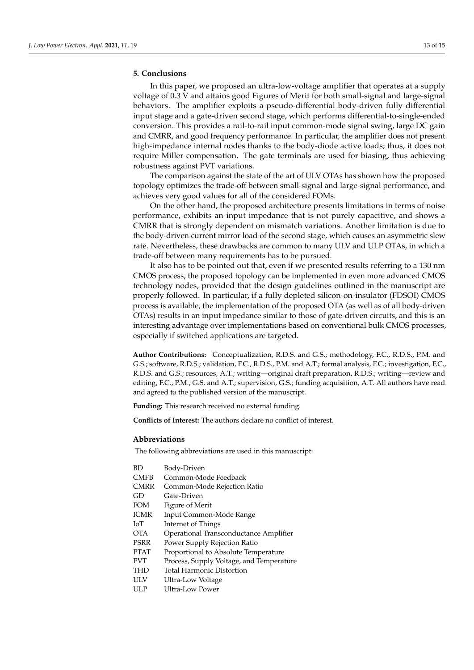## <span id="page-12-0"></span>**5. Conclusions**

In this paper, we proposed an ultra-low-voltage amplifier that operates at a supply voltage of 0.3 V and attains good Figures of Merit for both small-signal and large-signal behaviors. The amplifier exploits a pseudo-differential body-driven fully differential input stage and a gate-driven second stage, which performs differential-to-single-ended conversion. This provides a rail-to-rail input common-mode signal swing, large DC gain and CMRR, and good frequency performance. In particular, the amplifier does not present high-impedance internal nodes thanks to the body-diode active loads; thus, it does not require Miller compensation. The gate terminals are used for biasing, thus achieving robustness against PVT variations.

The comparison against the state of the art of ULV OTAs has shown how the proposed topology optimizes the trade-off between small-signal and large-signal performance, and achieves very good values for all of the considered FOMs.

On the other hand, the proposed architecture presents limitations in terms of noise performance, exhibits an input impedance that is not purely capacitive, and shows a CMRR that is strongly dependent on mismatch variations. Another limitation is due to the body-driven current mirror load of the second stage, which causes an asymmetric slew rate. Nevertheless, these drawbacks are common to many ULV and ULP OTAs, in which a trade-off between many requirements has to be pursued.

It also has to be pointed out that, even if we presented results referring to a 130 nm CMOS process, the proposed topology can be implemented in even more advanced CMOS technology nodes, provided that the design guidelines outlined in the manuscript are properly followed. In particular, if a fully depleted silicon-on-insulator (FDSOI) CMOS process is available, the implementation of the proposed OTA (as well as of all body-driven OTAs) results in an input impedance similar to those of gate-driven circuits, and this is an interesting advantage over implementations based on conventional bulk CMOS processes, especially if switched applications are targeted.

**Author Contributions:** Conceptualization, R.D.S. and G.S.; methodology, F.C., R.D.S., P.M. and G.S.; software, R.D.S.; validation, F.C., R.D.S., P.M. and A.T.; formal analysis, F.C.; investigation, F.C., R.D.S. and G.S.; resources, A.T.; writing—original draft preparation, R.D.S.; writing—review and editing, F.C., P.M., G.S. and A.T.; supervision, G.S.; funding acquisition, A.T. All authors have read and agreed to the published version of the manuscript.

**Funding:** This research received no external funding.

**Conflicts of Interest:** The authors declare no conflict of interest.

#### **Abbreviations**

The following abbreviations are used in this manuscript:

| ВD   | Body-Driven                              |
|------|------------------------------------------|
| CMFB | Common-Mode Feedback                     |
| CMRR | Common-Mode Rejection Ratio              |
| GD   | Gate-Driven                              |
| FOM  | Figure of Merit                          |
| ICMR | Input Common-Mode Range                  |
| IоT  | Internet of Things                       |
| ОТА  | Operational Transconductance Amplifier   |
| PSRR | Power Supply Rejection Ratio             |
| PTAT | Proportional to Absolute Temperature     |
| PVT  | Process, Supply Voltage, and Temperature |
| THD  | <b>Total Harmonic Distortion</b>         |
| ULV  | Ultra-Low Voltage                        |
| ULP  | Ultra-Low Power                          |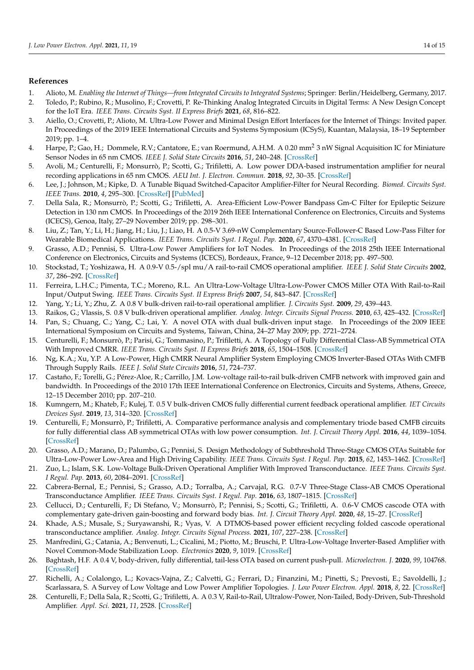## **References**

- <span id="page-13-0"></span>1. Alioto, M. *Enabling the Internet of Things—from Integrated Circuits to Integrated Systems*; Springer: Berlin/Heidelberg, Germany, 2017.
- <span id="page-13-4"></span>2. Toledo, P.; Rubino, R.; Musolino, F.; Crovetti, P. Re-Thinking Analog Integrated Circuits in Digital Terms: A New Design Concept for the IoT Era. *IEEE Trans. Circuits Syst. II Express Briefs* **2021**, *68*, 816–822.
- <span id="page-13-5"></span>3. Aiello, O.; Crovetti, P.; Alioto, M. Ultra-Low Power and Minimal Design Effort Interfaces for the Internet of Things: Invited paper. In Proceedings of the 2019 IEEE International Circuits and Systems Symposium (ICSyS), Kuantan, Malaysia, 18–19 September 2019; pp. 1–4.
- <span id="page-13-1"></span>4. Harpe, P.; Gao, H.; Dommele, R.V.; Cantatore, E.; van Roermund, A.H.M. A 0.20 mm<sup>2</sup> 3 nW Signal Acquisition IC for Miniature Sensor Nodes in 65 nm CMOS. *IEEE J. Solid State Circuits* **2016**, *51*, 240–248. [\[CrossRef\]](http://doi.org/10.1109/JSSC.2015.2487270)
- <span id="page-13-2"></span>5. Avoli, M.; Centurelli, F.; Monsurrò, P.; Scotti, G.; Trifiletti, A. Low power DDA-based instrumentation amplifier for neural recording applications in 65 nm CMOS. *AEU Int. J. Electron. Commun.* **2018**, *92*, 30–35. [\[CrossRef\]](http://dx.doi.org/10.1016/j.aeue.2018.05.014)
- <span id="page-13-6"></span>6. Lee, J.; Johnson, M.; Kipke, D. A Tunable Biquad Switched-Capacitor Amplifier-Filter for Neural Recording. *Biomed. Circuits Syst. IEEE Trans.* **2010**, *4*, 295–300. [\[CrossRef\]](http://dx.doi.org/10.1109/TBCAS.2010.2066272) [\[PubMed\]](http://www.ncbi.nlm.nih.gov/pubmed/23853375)
- <span id="page-13-7"></span>7. Della Sala, R.; Monsurrò, P.; Scotti, G.; Trifiletti, A. Area-Efficient Low-Power Bandpass Gm-C Filter for Epileptic Seizure Detection in 130 nm CMOS. In Proceedings of the 2019 26th IEEE International Conference on Electronics, Circuits and Systems (ICECS), Genoa, Italy, 27–29 November 2019; pp. 298–301.
- <span id="page-13-3"></span>8. Liu, Z.; Tan, Y.; Li, H.; Jiang, H.; Liu, J.; Liao, H. A 0.5-V 3.69-nW Complementary Source-Follower-C Based Low-Pass Filter for Wearable Biomedical Applications. *IEEE Trans. Circuits Syst. I Regul. Pap.* **2020**, *67*, 4370–4381. [\[CrossRef\]](http://dx.doi.org/10.1109/TCSI.2020.2995351)
- <span id="page-13-8"></span>9. Grasso, A.D.; Pennisi, S. Ultra-Low Power Amplifiers for IoT Nodes. In Proceedings of the 2018 25th IEEE International Conference on Electronics, Circuits and Systems (ICECS), Bordeaux, France, 9–12 December 2018; pp. 497–500.
- <span id="page-13-9"></span>10. Stockstad, T.; Yoshizawa, H. A 0.9-V 0.5-/spl mu/A rail-to-rail CMOS operational amplifier. *IEEE J. Solid State Circuits* **2002**, *37*, 286–292. [\[CrossRef\]](http://dx.doi.org/10.1109/4.987079)
- <span id="page-13-10"></span>11. Ferreira, L.H.C.; Pimenta, T.C.; Moreno, R.L. An Ultra-Low-Voltage Ultra-Low-Power CMOS Miller OTA With Rail-to-Rail Input/Output Swing. *IEEE Trans. Circuits Syst. II Express Briefs* **2007**, *54*, 843–847. [\[CrossRef\]](http://dx.doi.org/10.1109/TCSII.2007.902216)
- 12. Yang, Y.; Li, Y.; Zhu, Z. A 0.8 V bulk-driven rail-to-rail operational amplifier. *J. Circuits Syst.* **2009**, *29*, 439–443.
- 13. Raikos, G.; Vlassis, S. 0.8 V bulk-driven operational amplifier. *Analog. Integr. Circuits Signal Process.* **2010**, *63*, 425–432. [\[CrossRef\]](http://dx.doi.org/10.1007/s10470-009-9425-4)
- <span id="page-13-11"></span>14. Pan, S.; Chuang, C.; Yang, C.; Lai, Y. A novel OTA with dual bulk-driven input stage. In Proceedings of the 2009 IEEE International Symposium on Circuits and Systems, Taiwan, China, 24–27 May 2009; pp. 2721–2724.
- <span id="page-13-12"></span>15. Centurelli, F.; Monsurrò, P.; Parisi, G.; Tommasino, P.; Trifiletti, A. A Topology of Fully Differential Class-AB Symmetrical OTA With Improved CMRR. *IEEE Trans. Circuits Syst. II Express Briefs* **2018**, *65*, 1504–1508. [\[CrossRef\]](http://dx.doi.org/10.1109/TCSII.2017.2742240)
- <span id="page-13-17"></span>16. Ng, K.A.; Xu, Y.P. A Low-Power, High CMRR Neural Amplifier System Employing CMOS Inverter-Based OTAs With CMFB Through Supply Rails. *IEEE J. Solid State Circuits* **2016**, *51*, 724–737.
- 17. Castaño, F.; Torelli, G.; Pérez-Aloe, R.; Carrillo, J.M. Low-voltage rail-to-rail bulk-driven CMFB network with improved gain and bandwidth. In Proceedings of the 2010 17th IEEE International Conference on Electronics, Circuits and Systems, Athens, Greece, 12–15 December 2010; pp. 207–210.
- <span id="page-13-20"></span>18. Kumngern, M.; Khateb, F.; Kulej, T. 0.5 V bulk-driven CMOS fully differential current feedback operational amplifier. *IET Circuits Devices Syst.* **2019**, *13*, 314–320. [\[CrossRef\]](http://dx.doi.org/10.1049/iet-cds.2018.5301)
- <span id="page-13-13"></span>19. Centurelli, F.; Monsurrò, P.; Trifiletti, A. Comparative performance analysis and complementary triode based CMFB circuits for fully differential class AB symmetrical OTAs with low power consumption. *Int. J. Circuit Theory Appl.* **2016**, *44*, 1039–1054. [\[CrossRef\]](http://dx.doi.org/10.1002/cta.2123)
- <span id="page-13-14"></span>20. Grasso, A.D.; Marano, D.; Palumbo, G.; Pennisi, S. Design Methodology of Subthreshold Three-Stage CMOS OTAs Suitable for Ultra-Low-Power Low-Area and High Driving Capability. *IEEE Trans. Circuits Syst. I Regul. Pap.* **2015**, *62*, 1453–1462. [\[CrossRef\]](http://dx.doi.org/10.1109/TCSI.2015.2411796)
- <span id="page-13-18"></span>21. Zuo, L.; Islam, S.K. Low-Voltage Bulk-Driven Operational Amplifier With Improved Transconductance. *IEEE Trans. Circuits Syst. I Regul. Pap.* **2013**, *60*, 2084–2091. [\[CrossRef\]](http://dx.doi.org/10.1109/TCSI.2013.2239161)
- 22. Cabrera-Bernal, E.; Pennisi, S.; Grasso, A.D.; Torralba, A.; Carvajal, R.G. 0.7-V Three-Stage Class-AB CMOS Operational Transconductance Amplifier. *IEEE Trans. Circuits Syst. I Regul. Pap.* **2016**, *63*, 1807–1815. [\[CrossRef\]](http://dx.doi.org/10.1109/TCSI.2016.2597440)
- 23. Cellucci, D.; Centurelli, F.; Di Stefano, V.; Monsurrò, P.; Pennisi, S.; Scotti, G.; Trifiletti, A. 0.6-V CMOS cascode OTA with complementary gate-driven gain-boosting and forward body bias. *Int. J. Circuit Theory Appl.* **2020**, *48*, 15–27. [\[CrossRef\]](http://dx.doi.org/10.1002/cta.2703)
- <span id="page-13-15"></span>24. Khade, A.S.; Musale, S.; Suryawanshi, R.; Vyas, V. A DTMOS-based power efficient recycling folded cascode operational transconductance amplifier. *Analog. Integr. Circuits Signal Process.* **2021**, *107*, 227–238. [\[CrossRef\]](http://dx.doi.org/10.1007/s10470-021-01809-y)
- <span id="page-13-16"></span>25. Manfredini, G.; Catania, A.; Benvenuti, L.; Cicalini, M.; Piotto, M.; Bruschi, P. Ultra-Low-Voltage Inverter-Based Amplifier with Novel Common-Mode Stabilization Loop. *Electronics* **2020**, *9*, 1019. [\[CrossRef\]](http://dx.doi.org/10.3390/electronics9061019)
- 26. Baghtash, H.F. A 0.4 V, body-driven, fully differential, tail-less OTA based on current push-pull. *Microelectron. J.* **2020**, *99*, 104768. [\[CrossRef\]](http://dx.doi.org/10.1016/j.mejo.2020.104768)
- 27. Richelli, A.; Colalongo, L.; Kovacs-Vajna, Z.; Calvetti, G.; Ferrari, D.; Finanzini, M.; Pinetti, S.; Prevosti, E.; Savoldelli, J.; Scarlassara, S. A Survey of Low Voltage and Low Power Amplifier Topologies. *J. Low Power Electron. Appl.* **2018**, *8*, 22. [\[CrossRef\]](http://dx.doi.org/10.3390/jlpea8030022)
- <span id="page-13-19"></span>28. Centurelli, F.; Della Sala, R.; Scotti, G.; Trifiletti, A. A 0.3 V, Rail-to-Rail, Ultralow-Power, Non-Tailed, Body-Driven, Sub-Threshold Amplifier. *Appl. Sci.* **2021**, *11*, 2528. [\[CrossRef\]](http://dx.doi.org/10.3390/app11062528)